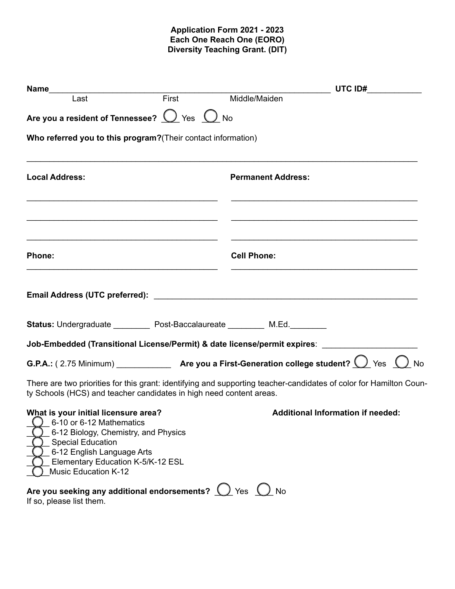## **Application Form 2021 - 2023 Each One Reach One (EORO) Diversity Teaching Grant. (DIT)**

| Name<br>Last First Middle/Maiden                                                                                                                                                                                                               |                                                                                   |  |
|------------------------------------------------------------------------------------------------------------------------------------------------------------------------------------------------------------------------------------------------|-----------------------------------------------------------------------------------|--|
| Are you a resident of Tennessee? $\bigcirc$ Yes $\bigcirc$ No                                                                                                                                                                                  |                                                                                   |  |
| Who referred you to this program? (Their contact information)                                                                                                                                                                                  |                                                                                   |  |
| <b>Local Address:</b>                                                                                                                                                                                                                          | <b>Permanent Address:</b>                                                         |  |
| the control of the control of the control of the control of the control of the control of the control of the control of the control of the control of the control of the control of the control of the control of the control<br><b>Phone:</b> | <u> 1989 - Johann Stoff, amerikansk politiker (d. 1989)</u><br><b>Cell Phone:</b> |  |
|                                                                                                                                                                                                                                                |                                                                                   |  |
| Status: Undergraduate ___________ Post-Baccalaureate __________ M.Ed.__________                                                                                                                                                                |                                                                                   |  |
| Job-Embedded (Transitional License/Permit) & date license/permit expires: __________________________                                                                                                                                           |                                                                                   |  |
| <b>G.P.A.:</b> (2.75 Minimum) <b>Are you a First-Generation college student?</b> $\bigcirc$ Yes $\bigcirc$ No                                                                                                                                  |                                                                                   |  |
| There are two priorities for this grant: identifying and supporting teacher-candidates of color for Hamilton Coun-<br>ty Schools (HCS) and teacher candidates in high need content areas.                                                      |                                                                                   |  |
| What is your initial licensure area?<br>6-10 or 6-12 Mathematics<br>6-12 Biology, Chemistry, and Physics<br><b>Special Education</b><br>6-12 English Language Arts<br>Elementary Education K-5/K-12 ESL<br><b>Music Education K-12</b>         | Additional Information if needed:                                                 |  |
| Are you seeking any additional endorsements? $\bigcup$ Yes $\bigcup$ No<br>If so, please list them.                                                                                                                                            |                                                                                   |  |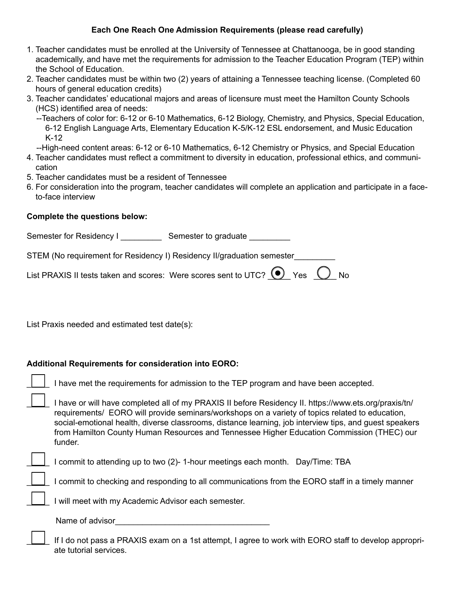# **Each One Reach One Admission Requirements (please read carefully)**

- 1. Teacher candidates must be enrolled at the University of Tennessee at Chattanooga, be in good standing academically, and have met the requirements for admission to the Teacher Education Program (TEP) within the School of Education.
- 2. Teacher candidates must be within two (2) years of attaining a Tennessee teaching license. (Completed 60 hours of general education credits)
- 3. Teacher candidates' educational majors and areas of licensure must meet the Hamilton County Schools (HCS) identified area of needs:
	- --Teachers of color for: 6-12 or 6-10 Mathematics, 6-12 Biology, Chemistry, and Physics, Special Education, 6-12 English Language Arts, Elementary Education K-5/K-12 ESL endorsement, and Music Education K-12
	- --High-need content areas: 6-12 or 6-10 Mathematics, 6-12 Chemistry or Physics, and Special Education
- 4. Teacher candidates must reflect a commitment to diversity in education, professional ethics, and communication
- 5. Teacher candidates must be a resident of Tennessee
- 6. For consideration into the program, teacher candidates will complete an application and participate in a faceto-face interview

#### **Complete the questions below:**

Semester for Residency I \_\_\_\_\_\_\_\_\_\_\_\_\_\_\_ Semester to graduate \_\_\_\_\_\_\_\_\_\_\_\_

STEM (No requirement for Residency I) Residency II/graduation semester\_\_\_\_\_\_\_\_\_

| List PRAXIS II tests taken and scores: Were scores sent to UTC? $\bigcirc$ Yes $\bigcirc$ No |  |  |  |  |
|----------------------------------------------------------------------------------------------|--|--|--|--|
|----------------------------------------------------------------------------------------------|--|--|--|--|

List Praxis needed and estimated test date(s):

## **Additional Requirements for consideration into EORO:**

| $\boxed{\phantom{a}}$ I have met the requirements for admission to the TEP program and have been accepted. |  |  |
|------------------------------------------------------------------------------------------------------------|--|--|
|------------------------------------------------------------------------------------------------------------|--|--|

I have or will have completed all of my PRAXIS II before Residency II. https://www.ets.org/praxis/tn/ \_\_\_\_\_ requirements/ EORO will provide seminars/workshops on a variety of topics related to education, social-emotional health, diverse classrooms, distance learning, job interview tips, and guest speakers from Hamilton County Human Resources and Tennessee Higher Education Commission (THEC) our funder.

I commit to attending up to two (2)-1-hour meetings each month. Day/Time: TBA

\_\_\_\_\_ I commit to checking and responding to all communications from the EORO staff in a timely manner

I will meet with my Academic Advisor each semester.

Name of advisor  $\blacksquare$ 

If I do not pass a PRAXIS exam on a 1st attempt, I agree to work with EORO staff to develop appropriate tutorial services.